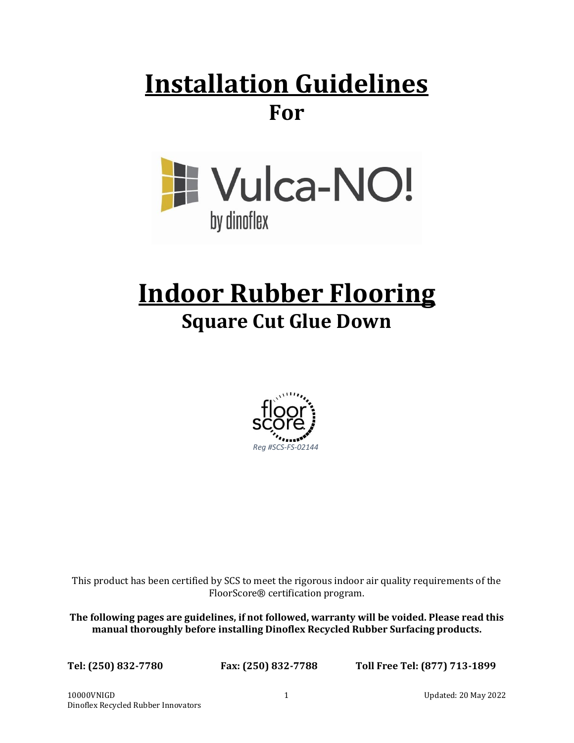## **Installation Guidelines For**



# **Indoor Rubber Flooring Square Cut Glue Down**



This product has been certified by SCS to meet the rigorous indoor air quality requirements of the FloorScore® certification program.

**The following pages are guidelines, if not followed, warranty will be voided. Please read this manual thoroughly before installing Dinoflex Recycled Rubber Surfacing products.**

**Tel: (250) 832-7780 Fax: (250) 832-7788 Toll Free Tel: (877) 713-1899**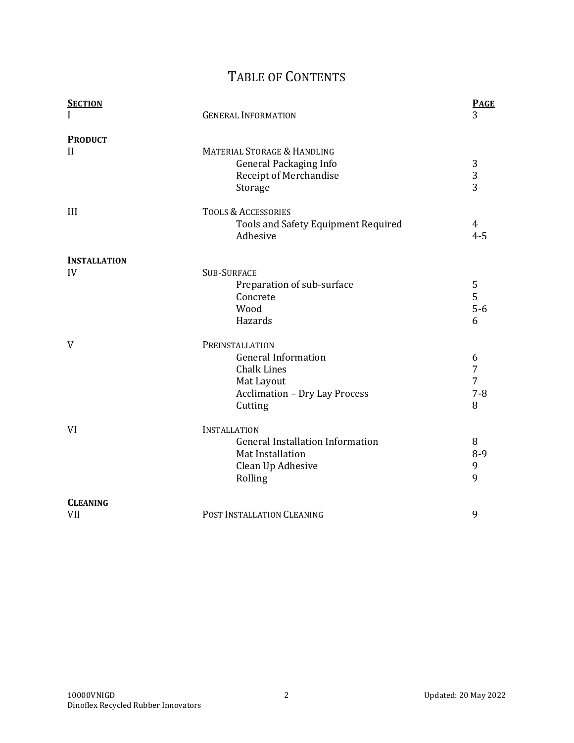### TABLE OF CONTENTS

| <b>SECTION</b><br>I            | <b>GENERAL INFORMATION</b>                                                                                                           | <b>PAGE</b><br>3            |
|--------------------------------|--------------------------------------------------------------------------------------------------------------------------------------|-----------------------------|
| <b>PRODUCT</b><br>$\mathbf{I}$ | <b>MATERIAL STORAGE &amp; HANDLING</b><br><b>General Packaging Info</b><br>Receipt of Merchandise<br>Storage                         | 3<br>3<br>3                 |
| III                            | <b>TOOLS &amp; ACCESSORIES</b><br>Tools and Safety Equipment Required<br>Adhesive                                                    | 4<br>$4 - 5$                |
| <b>INSTALLATION</b>            |                                                                                                                                      |                             |
| IV                             | <b>SUB-SURFACE</b><br>Preparation of sub-surface<br>Concrete<br>Wood<br>Hazards                                                      | 5<br>5<br>$5-6$<br>6        |
| V                              | PREINSTALLATION<br><b>General Information</b><br><b>Chalk Lines</b><br>Mat Layout<br><b>Acclimation - Dry Lay Process</b><br>Cutting | 6<br>7<br>7<br>$7 - 8$<br>8 |
| VI                             | <b>INSTALLATION</b><br><b>General Installation Information</b><br>Mat Installation<br>Clean Up Adhesive<br>Rolling                   | 8<br>$8 - 9$<br>9<br>9      |
| <b>CLEANING</b>                |                                                                                                                                      |                             |
| <b>VII</b>                     | POST INSTALLATION CLEANING                                                                                                           | 9                           |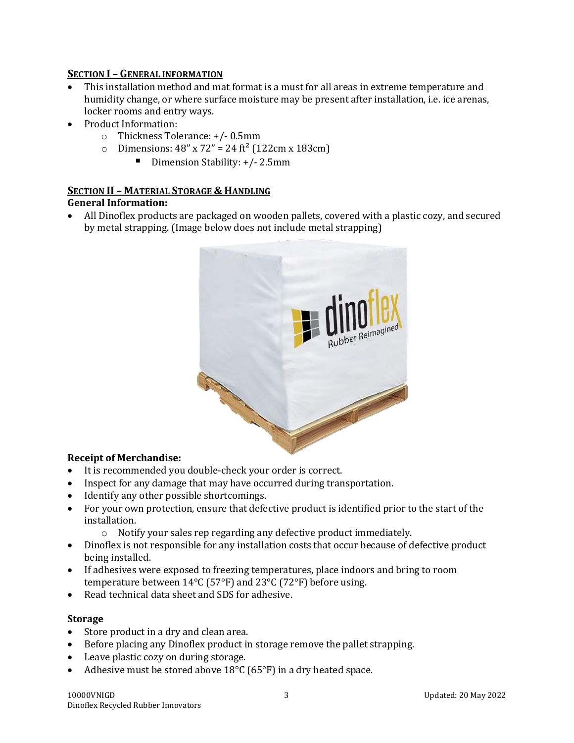#### **SECTION I – GENERAL INFORMATION**

- This installation method and mat format is a must for all areas in extreme temperature and humidity change, or where surface moisture may be present after installation, i.e. ice arenas, locker rooms and entry ways.
- Product Information:
	- o Thickness Tolerance: +/- 0.5mm
	- $\circ$  Dimensions: 48" x 72" = 24 ft<sup>2</sup> (122cm x 183cm)
		- Dimension Stability: +/- 2.5mm

#### **SECTION II – MATERIAL STORAGE & HANDLING General Information:**

• All Dinoflex products are packaged on wooden pallets, covered with a plastic cozy, and secured by metal strapping. (Image below does not include metal strapping)



#### **Receipt of Merchandise:**

- It is recommended you double-check your order is correct.
- Inspect for any damage that may have occurred during transportation.
- Identify any other possible shortcomings.
- For your own protection, ensure that defective product is identified prior to the start of the installation.
	- o Notify your sales rep regarding any defective product immediately.
- Dinoflex is not responsible for any installation costs that occur because of defective product being installed.
- If adhesives were exposed to freezing temperatures, place indoors and bring to room temperature between 14°C (57°F) and 23°C (72°F) before using.
- Read technical data sheet and SDS for adhesive.

#### **Storage**

- Store product in a dry and clean area.
- Before placing any Dinoflex product in storage remove the pallet strapping.
- Leave plastic cozy on during storage.
- Adhesive must be stored above 18°C (65°F) in a dry heated space.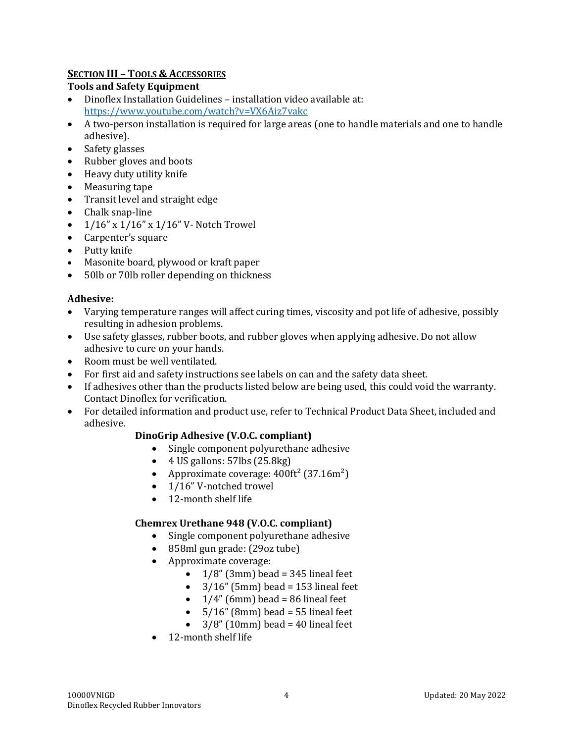#### **SECTION III – TOOLS & ACCESSORIES**

#### **Tools and Safety Equipment**

- Dinoflex Installation Guidelines installation video available at: <https://www.youtube.com/watch?v=VX6Aiz7vakc>
- A two-person installation is required for large areas (one to handle materials and one to handle adhesive).
- Safety glasses
- Rubber gloves and boots
- Heavy duty utility knife
- Measuring tape
- Transit level and straight edge
- Chalk snap-line
- 1/16" x 1/16" x 1/16" V- Notch Trowel
- Carpenter's square
- Putty knife
- Masonite board, plywood or kraft paper
- 50lb or 70lb roller depending on thickness

#### **Adhesive:**

- Varying temperature ranges will affect curing times, viscosity and pot life of adhesive, possibly resulting in adhesion problems.
- Use safety glasses, rubber boots, and rubber gloves when applying adhesive. Do not allow adhesive to cure on your hands.
- Room must be well ventilated.
- For first aid and safety instructions see labels on can and the safety data sheet.
- If adhesives other than the products listed below are being used, this could void the warranty. Contact Dinoflex for verification.
- For detailed information and product use, refer to Technical Product Data Sheet, included and adhesive.

#### **DinoGrip Adhesive (V.O.C. compliant)**

- Single component polyurethane adhesive
- $\bullet$  4 US gallons: 57lbs (25.8kg)
- Approximate coverage:  $400 \text{ft}^2$  (37.16m<sup>2</sup>)
- 1/16" V-notched trowel
- 12-month shelf life

#### **Chemrex Urethane 948 (V.O.C. compliant)**

- Single component polyurethane adhesive
- 858ml gun grade: (29oz tube)
- Approximate coverage:
	- $1/8$ " (3mm) bead = 345 lineal feet
	- $3/16$ " (5mm) bead = 153 lineal feet
	- $\bullet$  1/4" (6mm) bead = 86 lineal feet
	- $5/16$ " (8mm) bead = 55 lineal feet
	- $3/8$ " (10mm) bead = 40 lineal feet
- 12-month shelf life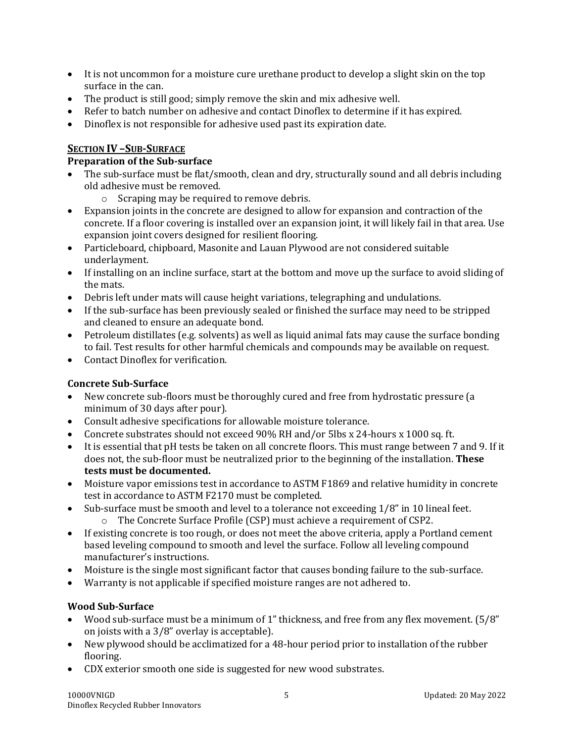- It is not uncommon for a moisture cure urethane product to develop a slight skin on the top surface in the can.
- The product is still good; simply remove the skin and mix adhesive well.
- Refer to batch number on adhesive and contact Dinoflex to determine if it has expired.
- Dinoflex is not responsible for adhesive used past its expiration date.

#### **SECTION IV –SUB-SURFACE**

#### **Preparation of the Sub-surface**

- The sub-surface must be flat/smooth, clean and dry, structurally sound and all debris including old adhesive must be removed.
	- o Scraping may be required to remove debris.
- Expansion joints in the concrete are designed to allow for expansion and contraction of the concrete. If a floor covering is installed over an expansion joint, it will likely fail in that area. Use expansion joint covers designed for resilient flooring.
- Particleboard, chipboard, Masonite and Lauan Plywood are not considered suitable underlayment.
- If installing on an incline surface, start at the bottom and move up the surface to avoid sliding of the mats.
- Debris left under mats will cause height variations, telegraphing and undulations.
- If the sub-surface has been previously sealed or finished the surface may need to be stripped and cleaned to ensure an adequate bond.
- Petroleum distillates (e.g. solvents) as well as liquid animal fats may cause the surface bonding to fail. Test results for other harmful chemicals and compounds may be available on request.
- Contact Dinoflex for verification.

#### **Concrete Sub-Surface**

- New concrete sub-floors must be thoroughly cured and free from hydrostatic pressure (a minimum of 30 days after pour).
- Consult adhesive specifications for allowable moisture tolerance.
- Concrete substrates should not exceed 90% RH and/or 5lbs x 24-hours x 1000 sq. ft.
- It is essential that pH tests be taken on all concrete floors. This must range between 7 and 9. If it does not, the sub-floor must be neutralized prior to the beginning of the installation. **These tests must be documented.**
- Moisture vapor emissions test in accordance to ASTM F1869 and relative humidity in concrete test in accordance to ASTM F2170 must be completed.
- Sub-surface must be smooth and level to a tolerance not exceeding 1/8" in 10 lineal feet.
	- o The Concrete Surface Profile (CSP) must achieve a requirement of CSP2.
- If existing concrete is too rough, or does not meet the above criteria, apply a Portland cement based leveling compound to smooth and level the surface. Follow all leveling compound manufacturer's instructions.
- Moisture is the single most significant factor that causes bonding failure to the sub-surface.
- Warranty is not applicable if specified moisture ranges are not adhered to.

#### **Wood Sub-Surface**

- Wood sub-surface must be a minimum of 1" thickness, and free from any flex movement. (5/8" on joists with a 3/8" overlay is acceptable).
- New plywood should be acclimatized for a 48-hour period prior to installation of the rubber flooring.
- CDX exterior smooth one side is suggested for new wood substrates.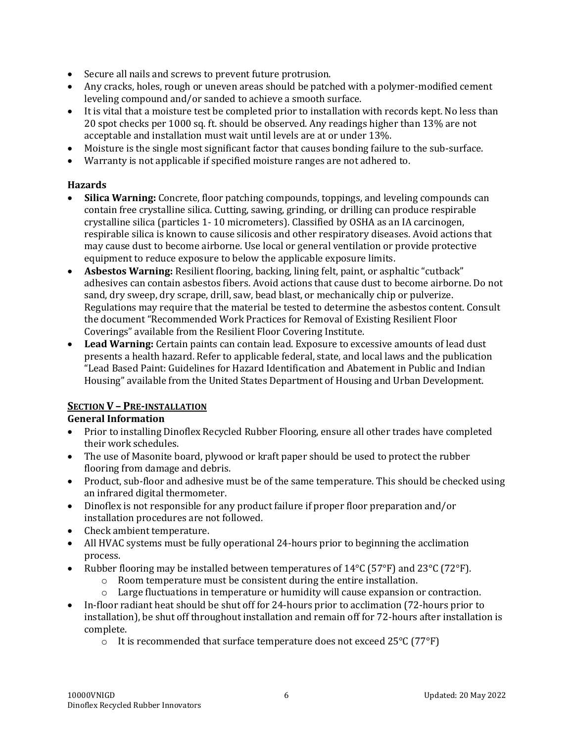- Secure all nails and screws to prevent future protrusion.
- Any cracks, holes, rough or uneven areas should be patched with a polymer-modified cement leveling compound and/or sanded to achieve a smooth surface.
- It is vital that a moisture test be completed prior to installation with records kept. No less than 20 spot checks per 1000 sq. ft. should be observed. Any readings higher than 13% are not acceptable and installation must wait until levels are at or under 13%.
- Moisture is the single most significant factor that causes bonding failure to the sub-surface.
- Warranty is not applicable if specified moisture ranges are not adhered to.

#### **Hazards**

- **Silica Warning:** Concrete, floor patching compounds, toppings, and leveling compounds can contain free crystalline silica. Cutting, sawing, grinding, or drilling can produce respirable crystalline silica (particles 1- 10 micrometers). Classified by OSHA as an IA carcinogen, respirable silica is known to cause silicosis and other respiratory diseases. Avoid actions that may cause dust to become airborne. Use local or general ventilation or provide protective equipment to reduce exposure to below the applicable exposure limits.
- **Asbestos Warning:** Resilient flooring, backing, lining felt, paint, or asphaltic "cutback" adhesives can contain asbestos fibers. Avoid actions that cause dust to become airborne. Do not sand, dry sweep, dry scrape, drill, saw, bead blast, or mechanically chip or pulverize. Regulations may require that the material be tested to determine the asbestos content. Consult the document "Recommended Work Practices for Removal of Existing Resilient Floor Coverings" available from the Resilient Floor Covering Institute.
- **Lead Warning:** Certain paints can contain lead. Exposure to excessive amounts of lead dust presents a health hazard. Refer to applicable federal, state, and local laws and the publication "Lead Based Paint: Guidelines for Hazard Identification and Abatement in Public and Indian Housing" available from the United States Department of Housing and Urban Development.

#### **SECTION V – PRE-INSTALLATION**

#### **General Information**

- Prior to installing Dinoflex Recycled Rubber Flooring, ensure all other trades have completed their work schedules.
- The use of Masonite board, plywood or kraft paper should be used to protect the rubber flooring from damage and debris.
- Product, sub-floor and adhesive must be of the same temperature. This should be checked using an infrared digital thermometer.
- Dinoflex is not responsible for any product failure if proper floor preparation and/or installation procedures are not followed.
- Check ambient temperature.
- All HVAC systems must be fully operational 24-hours prior to beginning the acclimation process.
- Rubber flooring may be installed between temperatures of 14°C (57°F) and 23°C (72°F).
	- o Room temperature must be consistent during the entire installation.
	- o Large fluctuations in temperature or humidity will cause expansion or contraction.
- In-floor radiant heat should be shut off for 24-hours prior to acclimation (72-hours prior to installation), be shut off throughout installation and remain off for 72-hours after installation is complete.
	- $\circ$  It is recommended that surface temperature does not exceed 25 $\degree$ C (77 $\degree$ F)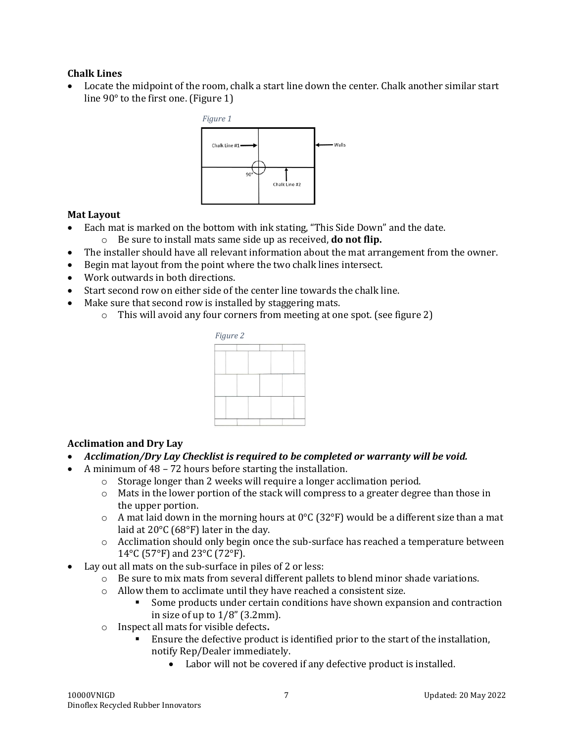#### **Chalk Lines**

• Locate the midpoint of the room, chalk a start line down the center. Chalk another similar start line 90° to the first one. (Figure 1)



#### **Mat Layout**

- Each mat is marked on the bottom with ink stating, "This Side Down" and the date.
	- o Be sure to install mats same side up as received, **do not flip.**
- The installer should have all relevant information about the mat arrangement from the owner.
- Begin mat layout from the point where the two chalk lines intersect.
- Work outwards in both directions.
- Start second row on either side of the center line towards the chalk line.
- Make sure that second row is installed by staggering mats.
	- o This will avoid any four corners from meeting at one spot. (see figure 2)



#### **Acclimation and Dry Lay**

- *Acclimation/Dry Lay Checklist is required to be completed or warranty will be void.*
- A minimum of 48 72 hours before starting the installation.
	- o Storage longer than 2 weeks will require a longer acclimation period.
	- $\circ$  Mats in the lower portion of the stack will compress to a greater degree than those in the upper portion.
	- $\circ$  A mat laid down in the morning hours at 0°C (32°F) would be a different size than a mat laid at 20°C (68°F) later in the day.
	- o Acclimation should only begin once the sub-surface has reached a temperature between 14°C (57°F) and 23°C (72°F).
- Lay out all mats on the sub-surface in piles of 2 or less:
	- $\circ$  Be sure to mix mats from several different pallets to blend minor shade variations.
	- o Allow them to acclimate until they have reached a consistent size.
		- Some products under certain conditions have shown expansion and contraction in size of up to  $1/8$ " (3.2mm).
	- o Inspect all mats for visible defects**.**
		- Ensure the defective product is identified prior to the start of the installation, notify Rep/Dealer immediately.
			- Labor will not be covered if any defective product is installed.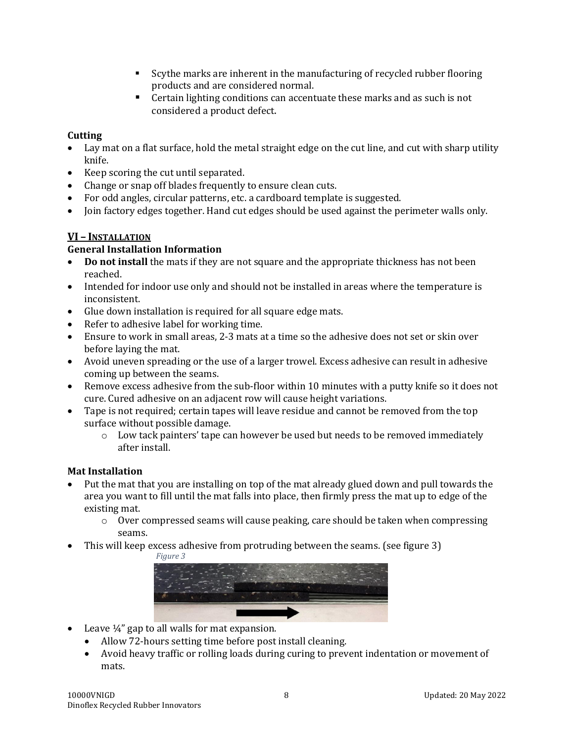- Scythe marks are inherent in the manufacturing of recycled rubber flooring products and are considered normal.
- Certain lighting conditions can accentuate these marks and as such is not considered a product defect.

#### **Cutting**

- Lay mat on a flat surface, hold the metal straight edge on the cut line, and cut with sharp utility knife.
- Keep scoring the cut until separated.
- Change or snap off blades frequently to ensure clean cuts.
- For odd angles, circular patterns, etc. a cardboard template is suggested.
- Join factory edges together. Hand cut edges should be used against the perimeter walls only.

#### **VI – INSTALLATION**

#### **General Installation Information**

- **Do not install** the mats if they are not square and the appropriate thickness has not been reached.
- Intended for indoor use only and should not be installed in areas where the temperature is inconsistent.
- Glue down installation is required for all square edge mats.
- Refer to adhesive label for working time.
- Ensure to work in small areas, 2-3 mats at a time so the adhesive does not set or skin over before laying the mat.
- Avoid uneven spreading or the use of a larger trowel. Excess adhesive can result in adhesive coming up between the seams.
- Remove excess adhesive from the sub-floor within 10 minutes with a putty knife so it does not cure. Cured adhesive on an adjacent row will cause height variations.
- Tape is not required; certain tapes will leave residue and cannot be removed from the top surface without possible damage.
	- $\circ$  Low tack painters' tape can however be used but needs to be removed immediately after install.

#### **Mat Installation**

- Put the mat that you are installing on top of the mat already glued down and pull towards the area you want to fill until the mat falls into place, then firmly press the mat up to edge of the existing mat.
	- o Over compressed seams will cause peaking, care should be taken when compressing seams.
- This will keep excess adhesive from protruding between the seams. (see figure 3)





- Leave 1/4" gap to all walls for mat expansion.
	- Allow 72-hours setting time before post install cleaning.
	- Avoid heavy traffic or rolling loads during curing to prevent indentation or movement of mats.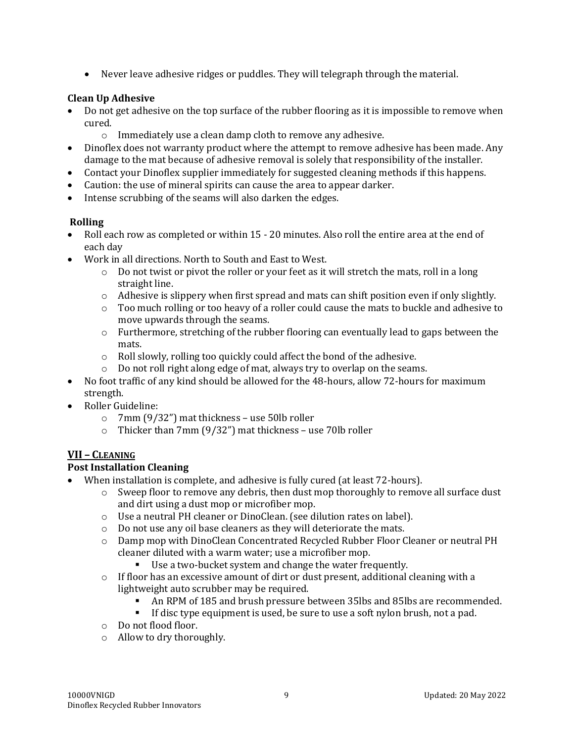• Never leave adhesive ridges or puddles. They will telegraph through the material.

#### **Clean Up Adhesive**

- Do not get adhesive on the top surface of the rubber flooring as it is impossible to remove when cured.
	- o Immediately use a clean damp cloth to remove any adhesive.
- Dinoflex does not warranty product where the attempt to remove adhesive has been made. Any damage to the mat because of adhesive removal is solely that responsibility of the installer.
- Contact your Dinoflex supplier immediately for suggested cleaning methods if this happens.
- Caution: the use of mineral spirits can cause the area to appear darker.
- Intense scrubbing of the seams will also darken the edges.

#### **Rolling**

- Roll each row as completed or within 15 20 minutes. Also roll the entire area at the end of each day
- Work in all directions. North to South and East to West.
	- $\circ$  Do not twist or pivot the roller or your feet as it will stretch the mats, roll in a long straight line.
	- $\circ$  Adhesive is slippery when first spread and mats can shift position even if only slightly.
	- $\circ$  Too much rolling or too heavy of a roller could cause the mats to buckle and adhesive to move upwards through the seams.
	- o Furthermore, stretching of the rubber flooring can eventually lead to gaps between the mats.
	- o Roll slowly, rolling too quickly could affect the bond of the adhesive.
	- o Do not roll right along edge of mat, always try to overlap on the seams.
- No foot traffic of any kind should be allowed for the 48-hours, allow 72-hours for maximum strength.
- Roller Guideline:
	- o 7mm (9/32") mat thickness use 50lb roller
	- o Thicker than 7mm (9/32") mat thickness use 70lb roller

#### **VII – CLEANING**

#### **Post Installation Cleaning**

- When installation is complete, and adhesive is fully cured (at least 72-hours).
	- $\circ$  Sweep floor to remove any debris, then dust mop thoroughly to remove all surface dust and dirt using a dust mop or microfiber mop.
	- o Use a neutral PH cleaner or DinoClean. (see dilution rates on label).
	- o Do not use any oil base cleaners as they will deteriorate the mats.
	- o Damp mop with DinoClean Concentrated Recycled Rubber Floor Cleaner or neutral PH cleaner diluted with a warm water; use a microfiber mop.
		- Use a two-bucket system and change the water frequently.
	- $\circ$  If floor has an excessive amount of dirt or dust present, additional cleaning with a lightweight auto scrubber may be required.
		- An RPM of 185 and brush pressure between 35lbs and 85lbs are recommended.
		- If disc type equipment is used, be sure to use a soft nylon brush, not a pad.
	- o Do not flood floor.
	- o Allow to dry thoroughly.